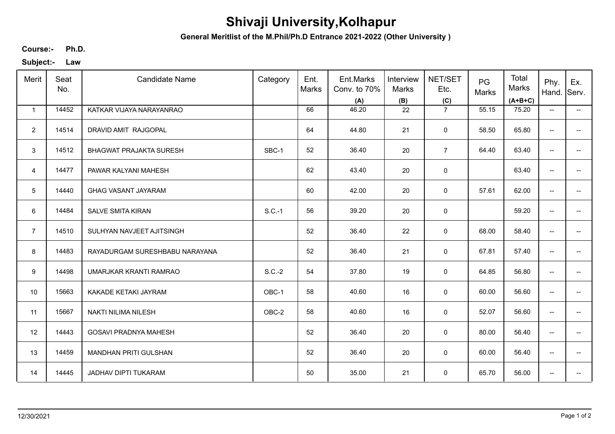## **Shivaji University,Kolhapur**

**General Meritlist of the M.Phil/Ph.D Entrance 2021-2022 (Other University )**

**Ph.D. Course:-**

**Subject:- Law**

| Merit          | Seat<br>No. | <b>Candidate Name</b>          | Category | Ent.<br>Marks | Ent.Marks<br>Conv. to 70%<br>(A) | Interview<br>Marks<br>(B) | NET/SET<br>Etc.<br>(C) | PG<br>Marks | Total<br>Marks<br>$(A+B+C)$ | Phy.<br>Hand.                       | Ex.<br>Serv.             |
|----------------|-------------|--------------------------------|----------|---------------|----------------------------------|---------------------------|------------------------|-------------|-----------------------------|-------------------------------------|--------------------------|
| $\mathbf{1}$   | 14452       | KATKAR VIJAYA NARAYANRAO       |          | 66            | 46.20                            | 22                        | $\overline{7}$         | 55.15       | 75.20                       | $\overline{\phantom{a}}$            | $\overline{\phantom{a}}$ |
| $\overline{2}$ | 14514       | DRAVID AMIT RAJGOPAL           |          | 64            | 44.80                            | 21                        | $\mathbf 0$            | 58.50       | 65.80                       | $\overline{\phantom{a}}$            | $\overline{\phantom{a}}$ |
| $\mathbf{3}$   | 14512       | <b>BHAGWAT PRAJAKTA SURESH</b> | SBC-1    | 52            | 36.40                            | 20                        | $\overline{7}$         | 64.40       | 63.40                       | --                                  |                          |
| $\overline{4}$ | 14477       | PAWAR KALYANI MAHESH           |          | 62            | 43.40                            | 20                        | $\mathsf 0$            |             | 63.40                       | --                                  |                          |
| 5              | 14440       | <b>GHAG VASANT JAYARAM</b>     |          | 60            | 42.00                            | 20                        | $\mathbf 0$            | 57.61       | 62.00                       | $\overline{\phantom{a}}$            | --                       |
| 6              | 14484       | SALVE SMITA KIRAN              | $S.C.-1$ | 56            | 39.20                            | 20                        | $\mathbf 0$            |             | 59.20                       | $\overline{\phantom{a}}$            | --                       |
| $\overline{7}$ | 14510       | SULHYAN NAVJEET AJITSINGH      |          | 52            | 36.40                            | 22                        | 0                      | 68.00       | 58.40                       | $\overline{\phantom{a}}$            | --                       |
| 8              | 14483       | RAYADURGAM SURESHBABU NARAYANA |          | 52            | 36.40                            | 21                        | $\mathbf 0$            | 67.81       | 57.40                       | $\overline{\phantom{a}}$            |                          |
| 9              | 14498       | UMARJKAR KRANTI RAMRAO         | $S.C.-2$ | 54            | 37.80                            | 19                        | $\mathbf 0$            | 64.85       | 56.80                       | $\overline{\phantom{a}}$            |                          |
| 10             | 15663       | KAKADE KETAKI JAYRAM           | OBC-1    | 58            | 40.60                            | 16                        | 0                      | 60.00       | 56.60                       | --                                  |                          |
| 11             | 15667       | NAKTI NILIMA NILESH            | OBC-2    | 58            | 40.60                            | 16                        | 0                      | 52.07       | 56.60                       | $\overline{\phantom{a}}$            | $-$                      |
| 12             | 14443       | <b>GOSAVI PRADNYA MAHESH</b>   |          | 52            | 36.40                            | 20                        | $\mathsf 0$            | 80.00       | 56.40                       | $\overline{\phantom{a}}$            | --                       |
| 13             | 14459       | <b>MANDHAN PRITI GULSHAN</b>   |          | 52            | 36.40                            | 20                        | 0                      | 60.00       | 56.40                       | $\overline{\phantom{a}}$            | $\overline{\phantom{a}}$ |
| 14             | 14445       | JADHAV DIPTI TUKARAM           |          | 50            | 35.00                            | 21                        | 0                      | 65.70       | 56.00                       | $\hspace{0.05cm}$ $\hspace{0.05cm}$ |                          |